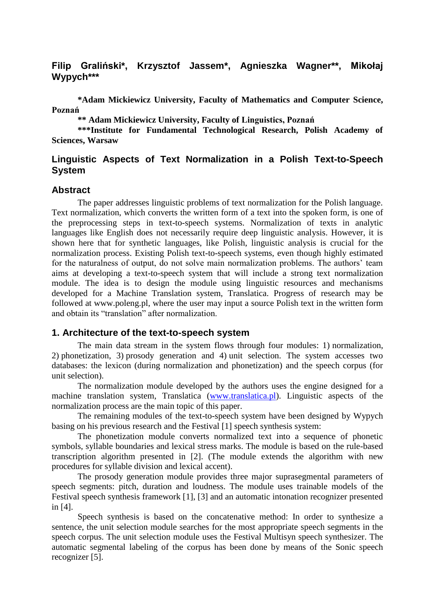## **Filip Graliński\*, Krzysztof Jassem\*, Agnieszka Wagner\*\*, Mikołaj Wypych\*\*\***

**\*Adam Mickiewicz University, Faculty of Mathematics and Computer Science, Poznań**

**\*\* Adam Mickiewicz University, Faculty of Linguistics, Poznań**

**\*\*\*Institute for Fundamental Technological Research, Polish Academy of Sciences, Warsaw**

### **Linguistic Aspects of Text Normalization in a Polish Text-to-Speech System**

### **Abstract**

The paper addresses linguistic problems of text normalization for the Polish language. Text normalization, which converts the written form of a text into the spoken form, is one of the preprocessing steps in text-to-speech systems. Normalization of texts in analytic languages like English does not necessarily require deep linguistic analysis. However, it is shown here that for synthetic languages, like Polish, linguistic analysis is crucial for the normalization process. Existing Polish text-to-speech systems, even though highly estimated for the naturalness of output, do not solve main normalization problems. The authors' team aims at developing a text-to-speech system that will include a strong text normalization module. The idea is to design the module using linguistic resources and mechanisms developed for a Machine Translation system, Translatica. Progress of research may be followed at www.poleng.pl, where the user may input a source Polish text in the written form and obtain its "translation" after normalization.

### **1. Architecture of the text-to-speech system**

The main data stream in the system flows through four modules: 1) normalization, 2) phonetization, 3) prosody generation and 4) unit selection. The system accesses two databases: the lexicon (during normalization and phonetization) and the speech corpus (for unit selection).

The normalization module developed by the authors uses the engine designed for a machine translation system, Translatica [\(www.translatica.pl\)](http://www.translatica.pl/). Linguistic aspects of the normalization process are the main topic of this paper.

The remaining modules of the text-to-speech system have been designed by Wypych basing on his previous research and the Festival [1] speech synthesis system:

The phonetization module converts normalized text into a sequence of phonetic symbols, syllable boundaries and lexical stress marks. The module is based on the rule-based transcription algorithm presented in [2]. (The module extends the algorithm with new procedures for syllable division and lexical accent).

The prosody generation module provides three major suprasegmental parameters of speech segments: pitch, duration and loudness. The module uses trainable models of the Festival speech synthesis framework [1], [3] and an automatic intonation recognizer presented in [4].

Speech synthesis is based on the concatenative method: In order to synthesize a sentence, the unit selection module searches for the most appropriate speech segments in the speech corpus. The unit selection module uses the Festival Multisyn speech synthesizer. The automatic segmental labeling of the corpus has been done by means of the Sonic speech recognizer [5].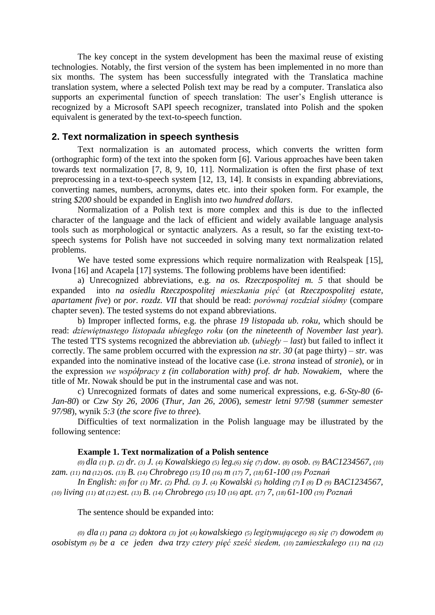The key concept in the system development has been the maximal reuse of existing technologies. Notably, the first version of the system has been implemented in no more than six months. The system has been successfully integrated with the Translatica machine translation system, where a selected Polish text may be read by a computer. Translatica also supports an experimental function of speech translation: The user's English utterance is recognized by a Microsoft SAPI speech recognizer, translated into Polish and the spoken equivalent is generated by the text-to-speech function.

### **2. Text normalization in speech synthesis**

Text normalization is an automated process, which converts the written form (orthographic form) of the text into the spoken form [6]. Various approaches have been taken towards text normalization [7, 8, 9, 10, 11]. Normalization is often the first phase of text preprocessing in a text-to-speech system [12, 13, 14]. It consists in expanding abbreviations, converting names, numbers, acronyms, dates etc. into their spoken form. For example, the string *\$200* should be expanded in English into *two hundred dollars*.

Normalization of a Polish text is more complex and this is due to the inflected character of the language and the lack of efficient and widely available language analysis tools such as morphological or syntactic analyzers. As a result, so far the existing text-tospeech systems for Polish have not succeeded in solving many text normalization related problems.

We have tested some expressions which require normalization with Realspeak [15], Ivona [16] and Acapela [17] systems. The following problems have been identified:

a) Unrecognized abbreviations, e.g. *na os. Rzeczpospolitej m. 5* that should be expanded into *na osiedlu Rzeczpospolitej mieszkania pięć* (*at Rzeczpospolitej estate, apartament five*) or *por. rozdz. VII* that should be read: *porównaj rozdział siódmy* (compare chapter seven). The tested systems do not expand abbreviations.

b) Improper inflected forms, e.g. the phrase *19 listopada ub. roku*, which should be read: *dziewiętnastego listopada ubiegłego roku* (*on the nineteenth of November last year*). The tested TTS systems recognized the abbreviation *ub.* (*ubiegły – last*) but failed to inflect it correctly. The same problem occurred with the expression *na str. 30* (at page thirty) – *str.* was expanded into the nominative instead of the locative case (i.e. *strona* instead of *stronie*), or in the expression *we współpracy z (in collaboration with) prof. dr hab. Nowakiem*, where the title of Mr. Nowak should be put in the instrumental case and was not.

c) Unrecognized formats of dates and some numerical expressions, e.g. *6-Sty-80* (*6- Jan-80*) or *Czw Sty 26, 2006* (*Thur, Jan 26, 2006*), *semestr letni 97/98* (*summer semester 97/98*), wynik *5:3* (*the score five to three*).

Difficulties of text normalization in the Polish language may be illustrated by the following sentence:

#### **Example 1. Text normalization of a Polish sentence**

(0) dla (1) p. (2) dr. (3) J. (4) Kowalskiego (5) leg. (6) się (7) dow. (8) osob. (9) BAC1234567, (10) *zam. (11) na (12) os. (13) B. (14) Chrobrego (15) 10 (16) m (17) 7, (18) 61-100 (19) Poznań*

In English: (0) for (1) Mr. (2) Phd. (3) J. (4) Kowalski (5) holding (7) I (8) D (9) BAC1234567, (10) living (11) at (12) est. (13) B. (14) Chrobrego (15) 10 (16) apt. (17) 7, (18) 61-100 (19) Poznań

The sentence should be expanded into:

*(0) dla (1) pana (2) doktora (3) jot (4) kowalskiego (5) legitymującego (6) się (7) dowodem (8) osobistym (9) be a ce jeden dwa trzy cztery pięć sześć siedem, (10) zamieszkałego (11) na (12)*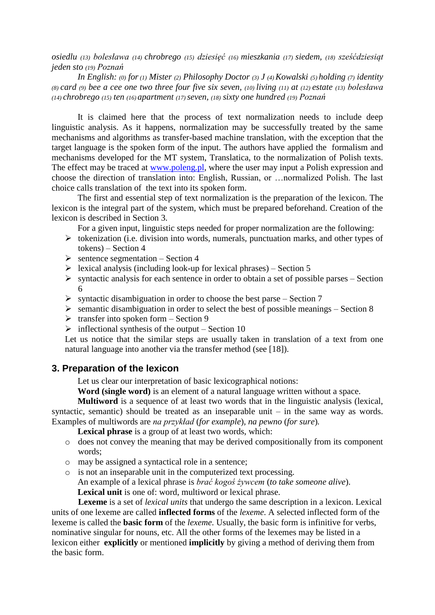*osiedlu (13) bolesława (14) chrobrego (15) dziesięć (16) mieszkania (17) siedem, (18) sześćdziesiąt jeden sto (19) Poznań*

*In English: (0) for(1) Mister (2) Philosophy Doctor (3) J (4) Kowalski (5) holding (7) identity (8) card (9) bee a cee one two three four five six seven, (10) living (11) at (12) estate (13) bolesława (14) chrobrego (15) ten (16) apartment (17)seven, (18) sixty one hundred (19) Poznań*

It is claimed here that the process of text normalization needs to include deep linguistic analysis. As it happens, normalization may be successfully treated by the same mechanisms and algorithms as transfer-based machine translation, with the exception that the target language is the spoken form of the input. The authors have applied the formalism and mechanisms developed for the MT system, Translatica, to the normalization of Polish texts. The effect may be traced at [www.poleng.pl,](http://www.poleng.pl/) where the user may input a Polish expression and choose the direction of translation into: English, Russian, or …normalized Polish. The last choice calls translation of the text into its spoken form.

The first and essential step of text normalization is the preparation of the lexicon. The lexicon is the integral part of the system, which must be prepared beforehand. Creation of the lexicon is described in Section 3.

For a given input, linguistic steps needed for proper normalization are the following:

- $\triangleright$  tokenization (i.e. division into words, numerals, punctuation marks, and other types of tokens) – Section 4
- $\triangleright$  sentence segmentation Section 4
- $\triangleright$  lexical analysis (including look-up for lexical phrases) Section 5
- $\triangleright$  syntactic analysis for each sentence in order to obtain a set of possible parses Section 6
- $\triangleright$  syntactic disambiguation in order to choose the best parse Section 7
- $\triangleright$  semantic disambiguation in order to select the best of possible meanings Section 8
- $\triangleright$  transfer into spoken form Section 9
- $\triangleright$  inflectional synthesis of the output Section 10

Let us notice that the similar steps are usually taken in translation of a text from one natural language into another via the transfer method (see [18]).

### **3. Preparation of the lexicon**

Let us clear our interpretation of basic lexicographical notions:

**Word (single word)** is an element of a natural language written without a space.

**Multiword** is a sequence of at least two words that in the linguistic analysis (lexical, syntactic, semantic) should be treated as an inseparable unit – in the same way as words. Examples of multiwords are *na przykład* (*for example*)*, na pewno* (*for sure*)*.*

Lexical phrase is a group of at least two words, which:

- o does not convey the meaning that may be derived compositionally from its component words;
- o may be assigned a syntactical role in a sentence;
- o is not an inseparable unit in the computerized text processing. An example of a lexical phrase is *brać kogoś żywcem* (*to take someone alive*). **Lexical unit** is one of: word, multiword or lexical phrase.

**Lexeme** is a set of *lexical units* that undergo the same description in a lexicon. Lexical units of one lexeme are called **inflected forms** of the *lexeme*. A selected inflected form of the lexeme is called the **basic form** of the *lexeme*. Usually, the basic form is infinitive for verbs, nominative singular for nouns, etc. All the other forms of the lexemes may be listed in a lexicon either **explicitly** or mentioned **implicitly** by giving a method of deriving them from the basic form.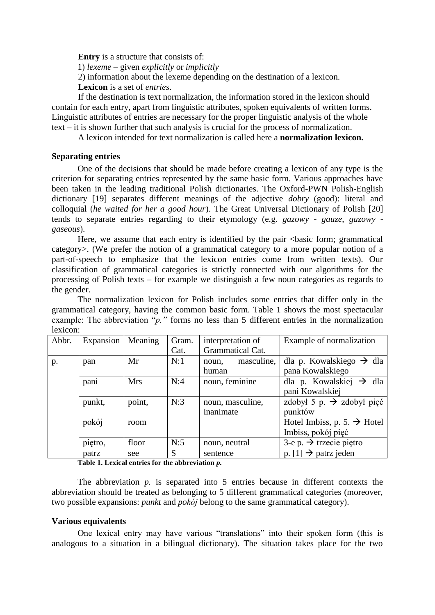**Entry** is a structure that consists of: 1) *lexeme* – given *explicitly* or *implicitly* 2) information about the lexeme depending on the destination of a lexicon. **Lexicon** is a set of *entries*.

If the destination is text normalization, the information stored in the lexicon should contain for each entry, apart from linguistic attributes, spoken equivalents of written forms. Linguistic attributes of entries are necessary for the proper linguistic analysis of the whole text – it is shown further that such analysis is crucial for the process of normalization.

A lexicon intended for text normalization is called here a **normalization lexicon.**

### **Separating entries**

One of the decisions that should be made before creating a lexicon of any type is the criterion for separating entries represented by the same basic form. Various approaches have been taken in the leading traditional Polish dictionaries. The Oxford-PWN Polish-English dictionary [19] separates different meanings of the adjective *dobry* (good): literal and colloquial (*he waited for her a good hour*). The Great Universal Dictionary of Polish [20] tends to separate entries regarding to their etymology (e.g. *gazowy - gauze*, *gazowy gaseous*).

Here, we assume that each entry is identified by the pair  $\triangle$ basic form; grammatical category>. (We prefer the notion of a grammatical category to a more popular notion of a part-of-speech to emphasize that the lexicon entries come from written texts). Our classification of grammatical categories is strictly connected with our algorithms for the processing of Polish texts – for example we distinguish a few noun categories as regards to the gender.

The normalization lexicon for Polish includes some entries that differ only in the grammatical category, having the common basic form. Table 1 shows the most spectacular example: The abbreviation "*p*." forms no less than 5 different entries in the normalization lexicon:

| Abbr. | Expansion | Meaning    | Gram. | interpretation of   | Example of normalization                |
|-------|-----------|------------|-------|---------------------|-----------------------------------------|
|       |           |            | Cat.  | Grammatical Cat.    |                                         |
| p.    | pan       | Mr         | N:1   | masculine,<br>noun. | dla p. Kowalskiego $\rightarrow$ dla    |
|       |           |            |       | human               | pana Kowalskiego                        |
|       | pani      | <b>Mrs</b> | N:4   | noun, feminine      | dla p. Kowalskiej $\rightarrow$ dla     |
|       |           |            |       |                     | pani Kowalskiej                         |
|       | punkt,    | point,     | N:3   | noun, masculine,    | zdobył 5 p. $\rightarrow$ zdobył pięć   |
|       |           |            |       | inanimate           | punktów                                 |
|       | pokój     | room       |       |                     | Hotel Imbiss, p. 5. $\rightarrow$ Hotel |
|       |           |            |       |                     | Imbiss, pokój pięć                      |
|       | piętro,   | floor      | N:5   | noun, neutral       | $3$ -e p. $\rightarrow$ trzecie piętro  |
|       | patrz     | see        | S     | sentence            | p. [1] $\rightarrow$ patrz jeden        |

**Table 1. Lexical entries for the abbreviation** *p.*

The abbreviation *p.* is separated into 5 entries because in different contexts the abbreviation should be treated as belonging to 5 different grammatical categories (moreover, two possible expansions: *punkt* and *pokój* belong to the same grammatical category).

#### **Various equivalents**

One lexical entry may have various "translations" into their spoken form (this is analogous to a situation in a bilingual dictionary). The situation takes place for the two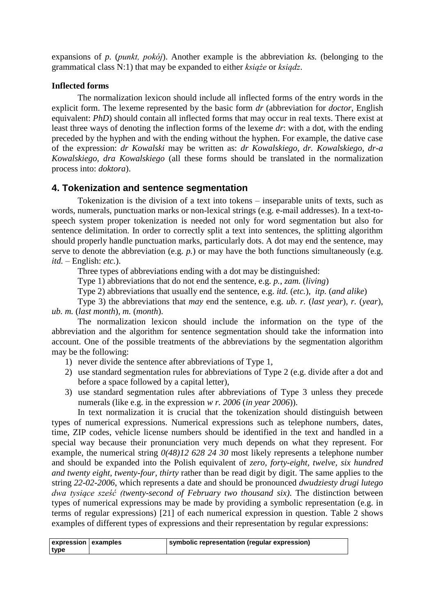expansions of *p.* (*punkt, pokój*). Another example is the abbreviation *ks.* (belonging to the grammatical class N:1) that may be expanded to either *książe* or *ksiądz*.

### **Inflected forms**

The normalization lexicon should include all inflected forms of the entry words in the explicit form. The lexeme represented by the basic form *dr* (abbreviation for *doctor*, English equivalent: *PhD*) should contain all inflected forms that may occur in real texts. There exist at least three ways of denoting the inflection forms of the lexeme *dr*: with a dot, with the ending preceded by the hyphen and with the ending without the hyphen. For example, the dative case of the expression: *dr Kowalski* may be written as: *dr Kowalskiego, dr. Kowalskiego, dr-a Kowalskiego, dra Kowalskiego* (all these forms should be translated in the normalization process into: *doktora*).

## **4. Tokenization and sentence segmentation**

Tokenization is the division of a text into tokens – inseparable units of texts, such as words, numerals, punctuation marks or non-lexical strings (e.g. e-mail addresses). In a text-tospeech system proper tokenization is needed not only for word segmentation but also for sentence delimitation. In order to correctly split a text into sentences, the splitting algorithm should properly handle punctuation marks, particularly dots. A dot may end the sentence, may serve to denote the abbreviation (e.g. *p.*) or may have the both functions simultaneously (e.g. *itd.* – English: *etc.*).

Three types of abbreviations ending with a dot may be distinguished:

Type 1) abbreviations that do not end the sentence, e.g. *p.*, *zam.* (*living*)

Type 2) abbreviations that usually end the sentence, e.g. *itd.* (*etc.*)*, itp.* (*and alike*)

Type 3) the abbreviations that *may* end the sentence, e.g. *ub. r.* (*last year*), *r.* (*year*), *ub. m.* (*last month*)*, m.* (*month*).

The normalization lexicon should include the information on the type of the abbreviation and the algorithm for sentence segmentation should take the information into account. One of the possible treatments of the abbreviations by the segmentation algorithm may be the following:

- 1) never divide the sentence after abbreviations of Type 1,
- 2) use standard segmentation rules for abbreviations of Type 2 (e.g. divide after a dot and before a space followed by a capital letter),
- 3) use standard segmentation rules after abbreviations of Type 3 unless they precede numerals (like e.g. in the expression *w r. 2006* (*in year 2006*)).

In text normalization it is crucial that the tokenization should distinguish between types of numerical expressions. Numerical expressions such as telephone numbers, dates, time, ZIP codes, vehicle license numbers should be identified in the text and handled in a special way because their pronunciation very much depends on what they represent. For example, the numerical string *0(48)12 628 24 30* most likely represents a telephone number and should be expanded into the Polish equivalent of *zero, forty-eight, twelve, six hundred and twenty eight, twenty-four, thirty* rather than be read digit by digit. The same applies to the string *22-02-2006*, which represents a date and should be pronounced *dwudziesty drugi lutego dwa tysiące sześć (twenty-second of February two thousand six)*. The distinction between types of numerical expressions may be made by providing a symbolic representation (e.g. in terms of regular expressions) [21] of each numerical expression in question. Table 2 shows examples of different types of expressions and their representation by regular expressions:

| expression   examples | symbolic representation (regular expression) |
|-----------------------|----------------------------------------------|
| type                  |                                              |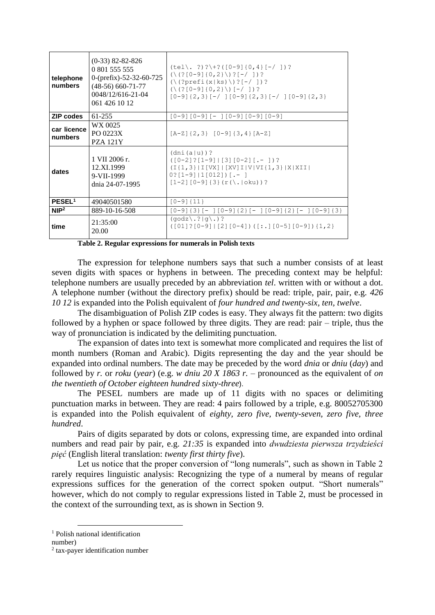| telephone<br>numbers   | $(0-33)$ 82-82-826<br>0 801 555 555<br>0-(prefix)-52-32-60-725<br>$(48-56) 660-71-77$<br>0048/12/616-21-04<br>061 426 10 12 | $(tel\$ . ?)?\+?([0-9]{0,4}[-/])?<br>$(\ \setminus ( ? [0-9] \{0,2\} \ \setminus ) ?[-/ ] ) ?$<br>$(\{ (?prefi(x ks)\}) ?[-/]) ?$<br>$(\ \setminus ( ? [0-9] \{0,2\}) ) [-/ ]$ ?<br>$[0-9]$ {2, 3} [-/ ] [0-9] {2, 3} [-/ ] [0-9] {2, 3} |
|------------------------|-----------------------------------------------------------------------------------------------------------------------------|------------------------------------------------------------------------------------------------------------------------------------------------------------------------------------------------------------------------------------------|
| <b>ZIP codes</b>       | 61-255                                                                                                                      | $[0-9] [0-9] [-10-9] [0-9] [0-9]$                                                                                                                                                                                                        |
| car licence<br>numbers | WX 0025<br>PO 0223X<br><b>PZA 121Y</b>                                                                                      | $[A-Z]$ {2, 3} $[0-9]$ {3, 4} $[A-Z]$                                                                                                                                                                                                    |
| dates                  | 1 VII 2006 r.<br>12.XI.1999<br>9-VII-1999<br>dnia 24-07-1995                                                                | $(dni(a u))$ ?<br>$([0-2]$ ? $[1-9]$   $[3]$ $[0-2]$ $[. - 1)$ ?<br>$(I{1,3} I[VX] [XY]I V VI{1,3} X XII $<br>$0?$ [1-9] 1[012])[.-]<br>$[1-2] [0-9] {3} (r(\),  \, \text{oku})$ ?                                                       |
| PESEL <sup>1</sup>     | 49040501580                                                                                                                 | $[0-9]$ {11}                                                                                                                                                                                                                             |
| NIP <sup>2</sup>       | 889-10-16-508                                                                                                               | $[0-9]$ {3}[-][0-9]{2}[-][0-9]{2}[-][0-9]{3}                                                                                                                                                                                             |
| time                   | 21:35:00<br>20.00                                                                                                           | $(qodz\langle .? q\langle .\rangle )$ ?<br>$([01]$ ? $[0-9]$   $[2]$ $[0-4]$ ) $([:.]$ $[0-5]$ $[0-9]$ $[1, 2]$                                                                                                                          |

**Table 2. Regular expressions for numerals in Polish texts**

The expression for telephone numbers says that such a number consists of at least seven digits with spaces or hyphens in between. The preceding context may be helpful: telephone numbers are usually preceded by an abbreviation *tel*. written with or without a dot. A telephone number (without the directory prefix) should be read: triple, pair, pair, e.g. *426 10 12* is expanded into the Polish equivalent of *four hundred and twenty-six, ten, twelve*.

The disambiguation of Polish ZIP codes is easy. They always fit the pattern: two digits followed by a hyphen or space followed by three digits. They are read: pair – triple, thus the way of pronunciation is indicated by the delimiting punctuation.

The expansion of dates into text is somewhat more complicated and requires the list of month numbers (Roman and Arabic). Digits representing the day and the year should be expanded into ordinal numbers. The date may be preceded by the word *dnia* or *dniu* (*day*) and followed by *r.* or *roku* (*year*) (e.g. *w dniu 20 X 1863 r.* – pronounced as the equivalent of *on the twentieth of October eighteen hundred sixty-three*).

The PESEL numbers are made up of 11 digits with no spaces or delimiting punctuation marks in between. They are read: 4 pairs followed by a triple, e.g. 80052705300 is expanded into the Polish equivalent of *eighty, zero five, twenty-seven, zero five, three hundred*.

Pairs of digits separated by dots or colons, expressing time, are expanded into ordinal numbers and read pair by pair, e.g. *21:35* is expanded into *dwudziesta pierwsza trzydzieści pięć* (English literal translation: *twenty first thirty five*).

Let us notice that the proper conversion of "long numerals", such as shown in Table 2 rarely requires linguistic analysis: Recognizing the type of a numeral by means of regular expressions suffices for the generation of the correct spoken output. "Short numerals" however, which do not comply to regular expressions listed in Table 2, must be processed in the context of the surrounding text, as is shown in Section 9.

 $\overline{a}$ 

<sup>1</sup> Polish national identification

number)

<sup>2</sup> tax-payer identification number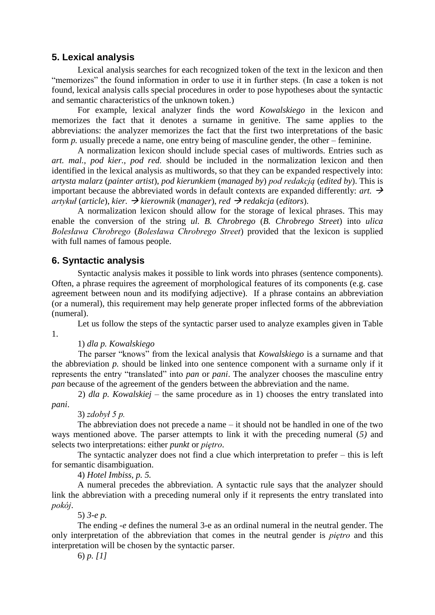## **5. Lexical analysis**

Lexical analysis searches for each recognized token of the text in the lexicon and then "memorizes" the found information in order to use it in further steps. (In case a token is not found, lexical analysis calls special procedures in order to pose hypotheses about the syntactic and semantic characteristics of the unknown token.)

For example, lexical analyzer finds the word *Kowalskiego* in the lexicon and memorizes the fact that it denotes a surname in genitive. The same applies to the abbreviations: the analyzer memorizes the fact that the first two interpretations of the basic form *p*. usually precede a name, one entry being of masculine gender, the other – feminine.

A normalization lexicon should include special cases of multiwords. Entries such as *art. mal.*, *pod kier.*, *pod red.* should be included in the normalization lexicon and then identified in the lexical analysis as multiwords, so that they can be expanded respectively into: *artysta malarz* (*painter artist*), *pod kierunkiem* (*managed by*) *pod redakcją* (*edited by*). This is important because the abbreviated words in default contexts are expanded differently:  $art.$   $\rightarrow$ *artykuł* (*article*), *kier. kierownik* (*manager*), *red redakcja* (*editors*).

A normalization lexicon should allow for the storage of lexical phrases. This may enable the conversion of the string *ul. B. Chrobrego* (*B. Chrobrego Street*) into *ulica Bolesława Chrobrego* (*Bolesława Chrobrego Street*) provided that the lexicon is supplied with full names of famous people.

## **6. Syntactic analysis**

Syntactic analysis makes it possible to link words into phrases (sentence components). Often, a phrase requires the agreement of morphological features of its components (e.g. case agreement between noun and its modifying adjective). If a phrase contains an abbreviation (or a numeral), this requirement may help generate proper inflected forms of the abbreviation (numeral).

Let us follow the steps of the syntactic parser used to analyze examples given in Table 1.

### 1) *dla p. Kowalskiego*

The parser "knows" from the lexical analysis that *Kowalskiego* is a surname and that the abbreviation *p.* should be linked into one sentence component with a surname only if it represents the entry "translated" into *pan* or *pani*. The analyzer chooses the masculine entry *pan* because of the agreement of the genders between the abbreviation and the name.

2) *dla p. Kowalskiej* – the same procedure as in 1) chooses the entry translated into *pani*.

3) *zdobył 5 p.* 

The abbreviation does not precede a name – it should not be handled in one of the two ways mentioned above. The parser attempts to link it with the preceding numeral (*5)* and selects two interpretations: either *punkt* or *piętro*.

The syntactic analyzer does not find a clue which interpretation to prefer – this is left for semantic disambiguation.

4) *Hotel Imbiss, p. 5.*

A numeral precedes the abbreviation. A syntactic rule says that the analyzer should link the abbreviation with a preceding numeral only if it represents the entry translated into *pokój*.

5) *3-e p.* 

The ending *-e* defines the numeral 3-e as an ordinal numeral in the neutral gender. The only interpretation of the abbreviation that comes in the neutral gender is *piętro* and this interpretation will be chosen by the syntactic parser.

6) *p. [1]*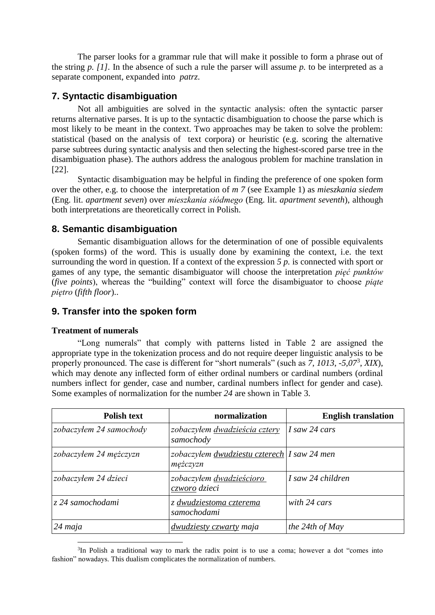The parser looks for a grammar rule that will make it possible to form a phrase out of the string *p. [1].* In the absence of such a rule the parser will assume *p.* to be interpreted as a separate component, expanded into *patrz*.

## **7. Syntactic disambiguation**

Not all ambiguities are solved in the syntactic analysis: often the syntactic parser returns alternative parses. It is up to the syntactic disambiguation to choose the parse which is most likely to be meant in the context. Two approaches may be taken to solve the problem: statistical (based on the analysis of text corpora) or heuristic (e.g. scoring the alternative parse subtrees during syntactic analysis and then selecting the highest-scored parse tree in the disambiguation phase). The authors address the analogous problem for machine translation in [22].

Syntactic disambiguation may be helpful in finding the preference of one spoken form over the other, e.g. to choose the interpretation of *m 7* (see Example 1) as *mieszkania siedem* (Eng. lit. *apartment seven*) over *mieszkania siódmego* (Eng. lit. *apartment seventh*), although both interpretations are theoretically correct in Polish.

## **8. Semantic disambiguation**

Semantic disambiguation allows for the determination of one of possible equivalents (spoken forms) of the word. This is usually done by examining the context, i.e. the text surrounding the word in question. If a context of the expression *5 p.* is connected with sport or games of any type, the semantic disambiguator will choose the interpretation *pięć punktów*  (*five points*), whereas the "building" context will force the disambiguator to choose *piąte piętro* (*fifth floor*)..

## **9. Transfer into the spoken form**

### **Treatment of numerals**

 $\overline{a}$ 

"Long numerals" that comply with patterns listed in Table 2 are assigned the appropriate type in the tokenization process and do not require deeper linguistic analysis to be properly pronounced. The case is different for "short numerals" (such as *7*, *1013*, *-5,07*<sup>3</sup> , *XIX*), which may denote any inflected form of either ordinal numbers or cardinal numbers (ordinal numbers inflect for gender, case and number, cardinal numbers inflect for gender and case). Some examples of normalization for the number *24* are shown in Table 3.

| <b>Polish text</b>      | normalization                                                         | <b>English translation</b> |
|-------------------------|-----------------------------------------------------------------------|----------------------------|
| zobaczyłem 24 samochody | zobaczyłem dwadzieścia cztery<br>samochody                            | I saw 24 cars              |
| zobaczyłem 24 mężczyzn  | zobaczyłem dwudziestu czterech $\vert I \vert$ saw 24 men<br>mężczyzn |                            |
| zobaczyłem 24 dzieci    | zobaczyłem dwadzieścioro<br>czworo dzieci                             | I saw 24 children          |
| z 24 samochodami        | z dwudziestoma czterema<br>samochodami                                | with 24 cars               |
| $24$ maja               | dwudziesty czwarty maja                                               | the 24th of May            |

<sup>&</sup>lt;sup>3</sup>In Polish a traditional way to mark the radix point is to use a coma; however a dot "comes into fashion" nowadays. This dualism complicates the normalization of numbers.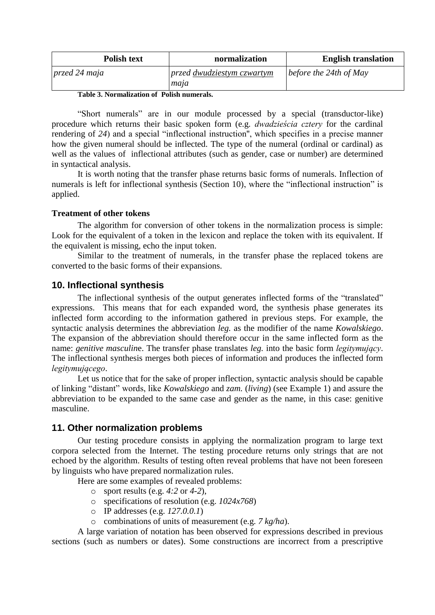| <b>Polish text</b> | normalization                        | <b>English translation</b> |
|--------------------|--------------------------------------|----------------------------|
| przed 24 maja      | $przed$ dwudziestym czwartym<br>maja | before the 24th of May     |

**Table 3. Normalization of Polish numerals.**

"Short numerals" are in our module processed by a special (transductor-like) procedure which returns their basic spoken form (e.g. *dwadzieścia cztery* for the cardinal rendering of *24*) and a special "inflectional instruction'', which specifies in a precise manner how the given numeral should be inflected. The type of the numeral (ordinal or cardinal) as well as the values of inflectional attributes (such as gender, case or number) are determined in syntactical analysis.

It is worth noting that the transfer phase returns basic forms of numerals. Inflection of numerals is left for inflectional synthesis (Section 10), where the "inflectional instruction" is applied.

#### **Treatment of other tokens**

The algorithm for conversion of other tokens in the normalization process is simple: Look for the equivalent of a token in the lexicon and replace the token with its equivalent. If the equivalent is missing, echo the input token.

Similar to the treatment of numerals, in the transfer phase the replaced tokens are converted to the basic forms of their expansions.

### **10. Inflectional synthesis**

The inflectional synthesis of the output generates inflected forms of the "translated" expressions. This means that for each expanded word, the synthesis phase generates its inflected form according to the information gathered in previous steps. For example, the syntactic analysis determines the abbreviation *leg.* as the modifier of the name *Kowalskiego*. The expansion of the abbreviation should therefore occur in the same inflected form as the name: *genitive masculin*e. The transfer phase translates *leg.* into the basic form *legitymujący*. The inflectional synthesis merges both pieces of information and produces the inflected form *legitymującego*.

Let us notice that for the sake of proper inflection, syntactic analysis should be capable of linking "distant" words, like *Kowalskiego* and *zam.* (*living*) (see Example 1) and assure the abbreviation to be expanded to the same case and gender as the name, in this case: genitive masculine.

### **11. Other normalization problems**

Our testing procedure consists in applying the normalization program to large text corpora selected from the Internet. The testing procedure returns only strings that are not echoed by the algorithm. Results of testing often reveal problems that have not been foreseen by linguists who have prepared normalization rules.

Here are some examples of revealed problems:

- o sport results (e.g. *4:2* or *4-2*),
- o specifications of resolution (e.g. *1024x768*)
- o IP addresses (e.g. *127.0.0.1*)
- o combinations of units of measurement (e.g. *7 kg/ha*).

A large variation of notation has been observed for expressions described in previous sections (such as numbers or dates). Some constructions are incorrect from a prescriptive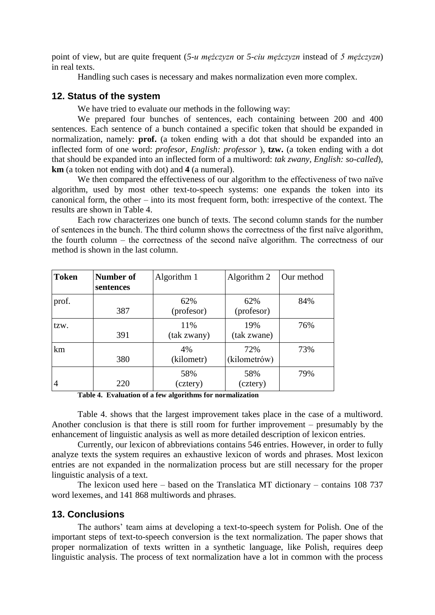point of view, but are quite frequent (*5-u mężczyzn* or *5-ciu mężczyzn* instead of *5 mężczyzn*) in real texts.

Handling such cases is necessary and makes normalization even more complex.

### **12. Status of the system**

We have tried to evaluate our methods in the following way:

We prepared four bunches of sentences, each containing between 200 and 400 sentences. Each sentence of a bunch contained a specific token that should be expanded in normalization, namely: **prof.** (a token ending with a dot that should be expanded into an inflected form of one word: *profesor, English: professor* ), **tzw.** (a token ending with a dot that should be expanded into an inflected form of a multiword: *tak zwany, English: so-called*), **km** (a token not ending with dot) and **4** (a numeral).

We then compared the effectiveness of our algorithm to the effectiveness of two naïve algorithm, used by most other text-to-speech systems: one expands the token into its canonical form, the other – into its most frequent form, both: irrespective of the context. The results are shown in Table 4.

Each row characterizes one bunch of texts. The second column stands for the number of sentences in the bunch. The third column shows the correctness of the first naïve algorithm, the fourth column – the correctness of the second naïve algorithm. The correctness of our method is shown in the last column.

| <b>Token</b>   | Number of<br>sentences | Algorithm 1        | Algorithm 2         | Our method |
|----------------|------------------------|--------------------|---------------------|------------|
| prof.          | 387                    | 62%<br>(profesor)  | 62%<br>(profesor)   | 84%        |
| tzw.           | 391                    | 11%<br>(tak zwany) | 19%<br>(tak zwane)  | 76%        |
| km             | 380                    | 4%<br>(kilometr)   | 72%<br>(kilometrów) | 73%        |
| $\overline{4}$ | 220                    | 58%<br>(cztery)    | 58%<br>(cztery)     | 79%        |

**Table 4. Evaluation of a few algorithms for normalization**

Table 4. shows that the largest improvement takes place in the case of a multiword. Another conclusion is that there is still room for further improvement – presumably by the enhancement of linguistic analysis as well as more detailed description of lexicon entries.

Currently, our lexicon of abbreviations contains 546 entries. However, in order to fully analyze texts the system requires an exhaustive lexicon of words and phrases. Most lexicon entries are not expanded in the normalization process but are still necessary for the proper linguistic analysis of a text.

The lexicon used here – based on the Translatica MT dictionary – contains 108 737 word lexemes, and 141 868 multiwords and phrases.

### **13. Conclusions**

The authors' team aims at developing a text-to-speech system for Polish. One of the important steps of text-to-speech conversion is the text normalization. The paper shows that proper normalization of texts written in a synthetic language, like Polish, requires deep linguistic analysis. The process of text normalization have a lot in common with the process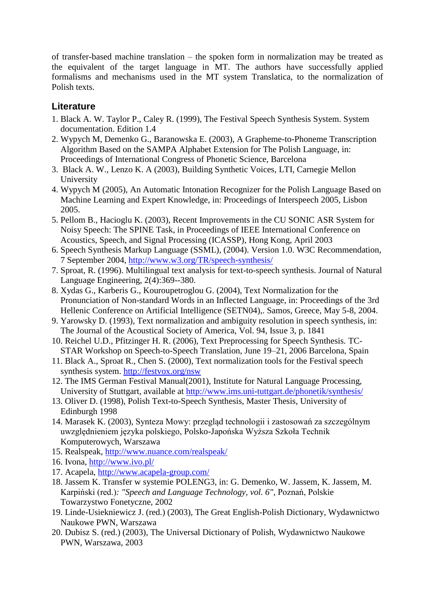of transfer-based machine translation – the spoken form in normalization may be treated as the equivalent of the target language in MT. The authors have successfully applied formalisms and mechanisms used in the MT system Translatica, to the normalization of Polish texts.

# **Literature**

- 1. Black A. W. Taylor P., Caley R. (1999), The Festival Speech Synthesis System. System documentation. Edition 1.4
- 2. Wypych M, Demenko G., Baranowska E. (2003), A Grapheme-to-Phoneme Transcription Algorithm Based on the SAMPA Alphabet Extension for The Polish Language, in: Proceedings of International Congress of Phonetic Science, Barcelona
- 3. Black A. W., Lenzo K. A (2003), Building Synthetic Voices, LTI, Carnegie Mellon University
- 4. Wypych M (2005), An Automatic Intonation Recognizer for the Polish Language Based on Machine Learning and Expert Knowledge, in: Proceedings of Interspeech 2005, Lisbon 2005.
- 5. Pellom B., Hacioglu K. (2003), Recent Improvements in the CU SONIC ASR System for Noisy Speech: The SPINE Task, in Proceedings of IEEE International Conference on Acoustics, Speech, and Signal Processing (ICASSP), Hong Kong, April 2003
- 6. Speech Synthesis Markup Language (SSML), (2004). Version 1.0. W3C Recommendation, 7 September 2004,<http://www.w3.org/TR/speech-synthesis/>
- 7. Sproat, R. (1996). Multilingual text analysis for text-to-speech synthesis. Journal of Natural Language Engineering, 2(4):369--380.
- 8. Xydas G., Karberis G., Kouroupetroglou G. (2004), Text Normalization for the Pronunciation of Non-standard Words in an Inflected Language, in: Proceedings of the 3rd Hellenic Conference on Artificial Intelligence (SETN04),. Samos, Greece, May 5-8, 2004.
- 9. Yarowsky D. (1993), Text normalization and ambiguity resolution in speech synthesis, in: The Journal of the Acoustical Society of America, Vol. 94, Issue 3, p. 1841
- 10. Reichel U.D., Pfitzinger H. R. (2006), Text Preprocessing for Speech Synthesis. TC-STAR Workshop on Speech-to-Speech Translation, June 19–21, 2006 Barcelona, Spain
- 11. Black A., Sproat R., Chen S. (2000), Text normalization tools for the Festival speech synthesis system.<http://festvox.org/nsw>
- 12. The IMS German Festival Manual(2001), Institute for Natural Language Processing, University of Stuttgart, available at [http://www.ims.uni-tuttgart.de/phonetik/synthesis/](http://www.ims.uni-stuttgart.de/phonetik/synthesis/)
- 13. Oliver D. (1998), Polish Text-to-Speech Synthesis, Master Thesis, University of Edinburgh 1998
- 14. Marasek K. (2003), Synteza Mowy: przegląd technologii i zastosowań za szczególnym uwzględnieniem języka polskiego, Polsko-Japońska Wyższa Szkoła Technik Komputerowych, Warszawa
- 15. Realspeak,<http://www.nuance.com/realspeak/>
- 16. Ivona, <http://www.ivo.pl/>
- 17. Acapela, <http://www.acapela-group.com/>
- 18. Jassem K. Transfer w systemie POLENG3, in: G. Demenko, W. Jassem, K. Jassem, M. Karpiński (red.)*: "Speech and Language Technology, vol. 6",* Poznań, Polskie Towarzystwo Fonetyczne, 2002
- 19. Linde-Usiekniewicz J. (red.) (2003), The Great English-Polish Dictionary, Wydawnictwo Naukowe PWN, Warszawa
- 20. Dubisz S. (red.) (2003), The Universal Dictionary of Polish, Wydawnictwo Naukowe PWN, Warszawa, 2003